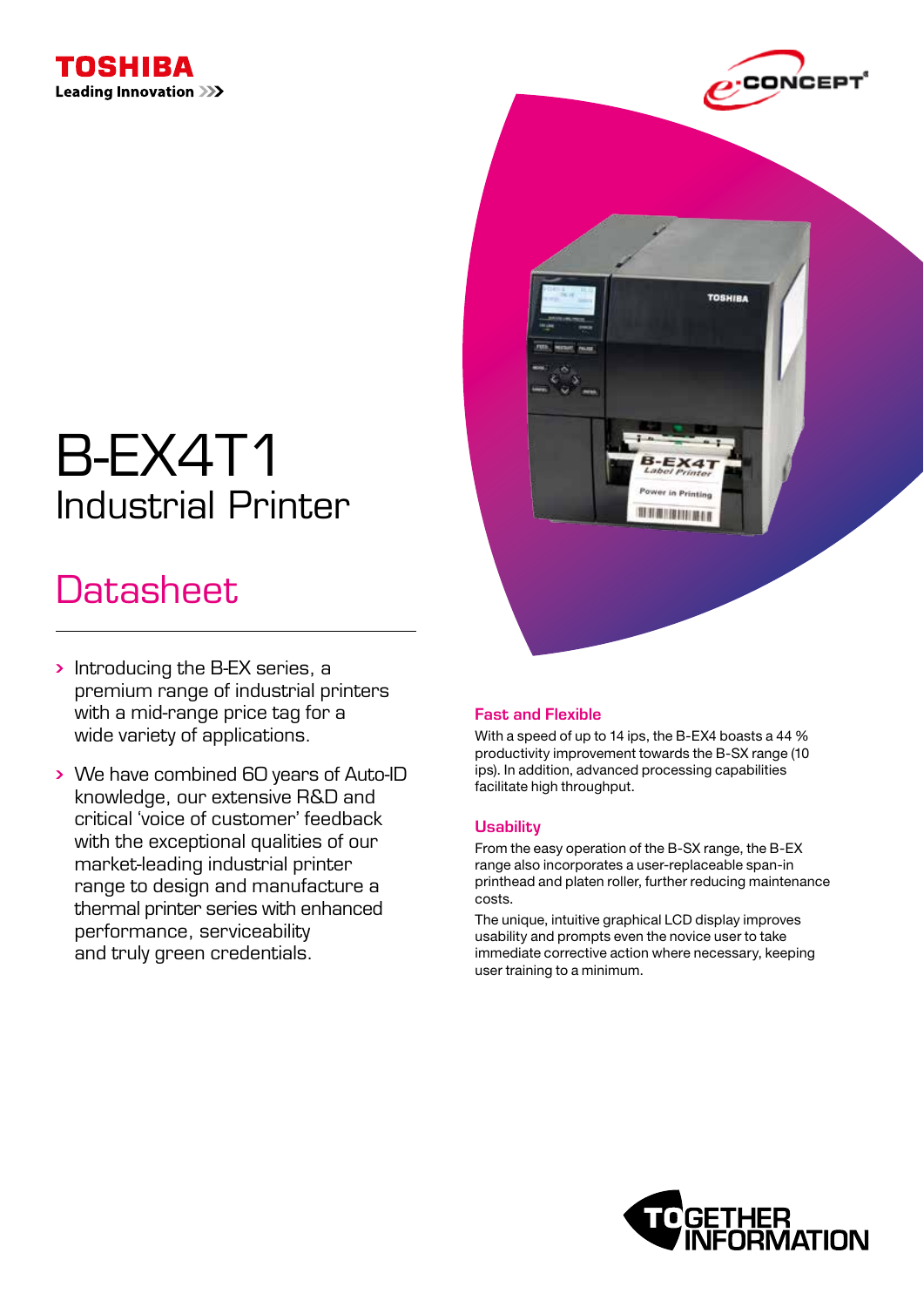



**TOSHIBA** 

Printing 用羽眼 像用门根石

# B-EX4T1 Industrial Printer

# **Datasheet**

- Introducing the B-EX series, a premium range of industrial printers with a mid-range price tag for a wide variety of applications.
- We have combined 60 years of Auto-ID knowledge, our extensive R&D and critical 'voice of customer' feedback with the exceptional qualities of our market-leading industrial printer range to design and manufacture a thermal printer series with enhanced performance, serviceability and truly green credentials.

## Fast and Flexible

With a speed of up to 14 ips, the B-EX4 boasts a 44 % productivity improvement towards the B-SX range (10 ips). In addition, advanced processing capabilities facilitate high throughput.

### **Usability**

From the easy operation of the B-SX range, the B-EX range also incorporates a user-replaceable span-in printhead and platen roller, further reducing maintenance costs.

The unique, intuitive graphical LCD display improves usability and prompts even the novice user to take immediate corrective action where necessary, keeping user training to a minimum.